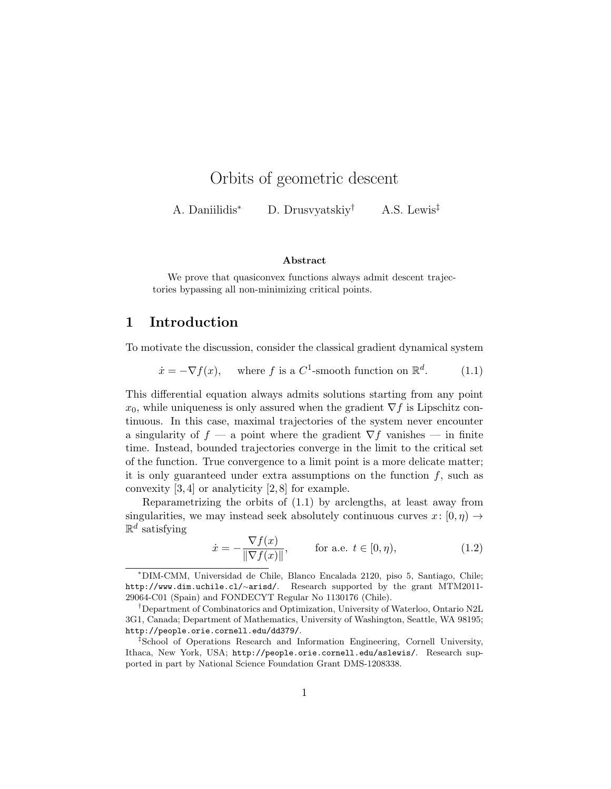# Orbits of geometric descent

A. Daniilidis<sup>∗</sup> D. Drusvyatskiy† A.S. Lewis‡

#### Abstract

We prove that quasiconvex functions always admit descent trajectories bypassing all non-minimizing critical points.

### 1 Introduction

To motivate the discussion, consider the classical gradient dynamical system

$$
\dot{x} = -\nabla f(x), \quad \text{where } f \text{ is a } C^1\text{-smooth function on } \mathbb{R}^d. \tag{1.1}
$$

This differential equation always admits solutions starting from any point  $x_0$ , while uniqueness is only assured when the gradient  $\nabla f$  is Lipschitz continuous. In this case, maximal trajectories of the system never encounter a singularity of  $f$  — a point where the gradient  $\nabla f$  vanishes — in finite time. Instead, bounded trajectories converge in the limit to the critical set of the function. True convergence to a limit point is a more delicate matter; it is only guaranteed under extra assumptions on the function  $f$ , such as convexity  $[3, 4]$  or analyticity  $[2, 8]$  for example.

Reparametrizing the orbits of (1.1) by arclengths, at least away from singularities, we may instead seek absolutely continuous curves  $x: [0, \eta) \rightarrow$  $\mathbb{R}^d$  satisfying

$$
\dot{x} = -\frac{\nabla f(x)}{\|\nabla f(x)\|}, \quad \text{for a.e. } t \in [0, \eta), \tag{1.2}
$$

<sup>∗</sup>DIM-CMM, Universidad de Chile, Blanco Encalada 2120, piso 5, Santiago, Chile; http://www.dim.uchile.cl/∼arisd/. Research supported by the grant MTM2011- 29064-C01 (Spain) and FONDECYT Regular No 1130176 (Chile).

<sup>†</sup>Department of Combinatorics and Optimization, University of Waterloo, Ontario N2L 3G1, Canada; Department of Mathematics, University of Washington, Seattle, WA 98195; http://people.orie.cornell.edu/dd379/.

<sup>‡</sup>School of Operations Research and Information Engineering, Cornell University, Ithaca, New York, USA; http://people.orie.cornell.edu/aslewis/. Research supported in part by National Science Foundation Grant DMS-1208338.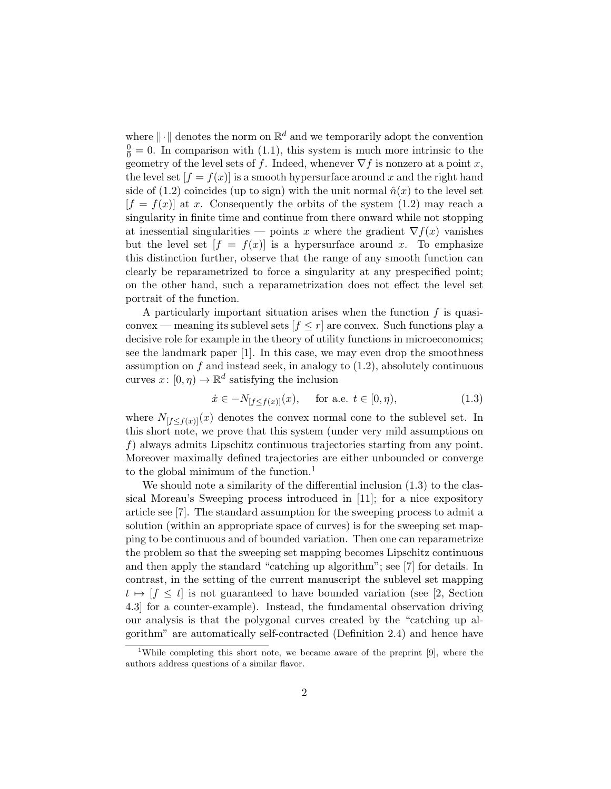where  $\|\cdot\|$  denotes the norm on  $\mathbb{R}^d$  and we temporarily adopt the convention  $\frac{0}{0} = 0$ . In comparison with (1.1), this system is much more intrinsic to the geometry of the level sets of f. Indeed, whenever  $\nabla f$  is nonzero at a point x, the level set  $[f = f(x)]$  is a smooth hypersurface around x and the right hand side of (1.2) coincides (up to sign) with the unit normal  $\hat{n}(x)$  to the level set  $[f = f(x)]$  at x. Consequently the orbits of the system  $(1.2)$  may reach a singularity in finite time and continue from there onward while not stopping at inessential singularities — points x where the gradient  $\nabla f(x)$  vanishes but the level set  $[f = f(x)]$  is a hypersurface around x. To emphasize this distinction further, observe that the range of any smooth function can clearly be reparametrized to force a singularity at any prespecified point; on the other hand, such a reparametrization does not effect the level set portrait of the function.

A particularly important situation arises when the function  $f$  is quasiconvex — meaning its sublevel sets  $|f \leq r|$  are convex. Such functions play a decisive role for example in the theory of utility functions in microeconomics; see the landmark paper [1]. In this case, we may even drop the smoothness assumption on  $f$  and instead seek, in analogy to  $(1.2)$ , absolutely continuous curves  $x: [0, \eta) \to \mathbb{R}^d$  satisfying the inclusion

$$
\dot{x} \in -N_{[f \le f(x)]}(x)
$$
, for a.e.  $t \in [0, \eta)$ , (1.3)

where  $N_{[f \leq f(x)]}(x)$  denotes the convex normal cone to the sublevel set. In this short note, we prove that this system (under very mild assumptions on f) always admits Lipschitz continuous trajectories starting from any point. Moreover maximally defined trajectories are either unbounded or converge to the global minimum of the function.<sup>1</sup>

We should note a similarity of the differential inclusion  $(1.3)$  to the classical Moreau's Sweeping process introduced in [11]; for a nice expository article see [7]. The standard assumption for the sweeping process to admit a solution (within an appropriate space of curves) is for the sweeping set mapping to be continuous and of bounded variation. Then one can reparametrize the problem so that the sweeping set mapping becomes Lipschitz continuous and then apply the standard "catching up algorithm"; see [7] for details. In contrast, in the setting of the current manuscript the sublevel set mapping  $t \mapsto [f \leq t]$  is not guaranteed to have bounded variation (see [2, Section 4.3] for a counter-example). Instead, the fundamental observation driving our analysis is that the polygonal curves created by the "catching up algorithm" are automatically self-contracted (Definition 2.4) and hence have

<sup>&</sup>lt;sup>1</sup>While completing this short note, we became aware of the preprint [9], where the authors address questions of a similar flavor.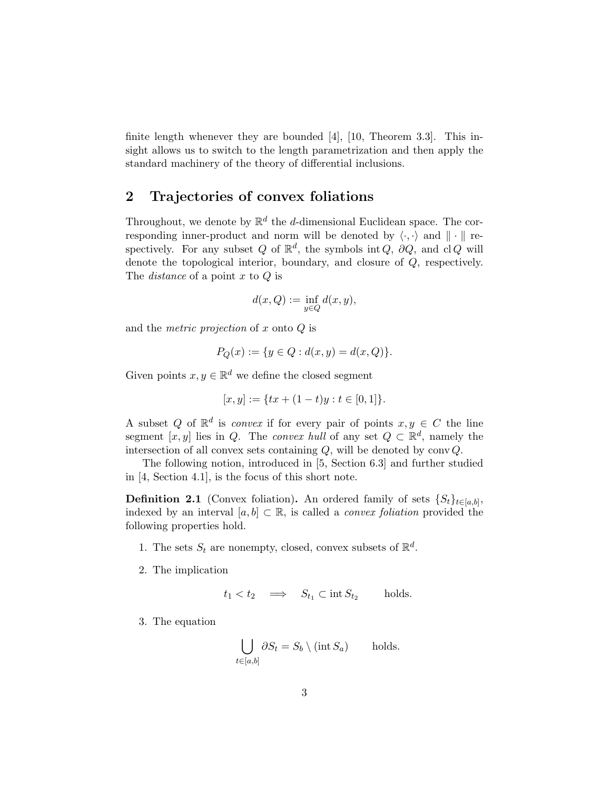finite length whenever they are bounded [4], [10, Theorem 3.3]. This insight allows us to switch to the length parametrization and then apply the standard machinery of the theory of differential inclusions.

## 2 Trajectories of convex foliations

Throughout, we denote by  $\mathbb{R}^d$  the d-dimensional Euclidean space. The corresponding inner-product and norm will be denoted by  $\langle \cdot, \cdot \rangle$  and  $\| \cdot \|$  respectively. For any subset Q of  $\mathbb{R}^d$ , the symbols int Q,  $\partial Q$ , and cl Q will denote the topological interior, boundary, and closure of Q, respectively. The *distance* of a point  $x$  to  $Q$  is

$$
d(x,Q) := \inf_{y \in Q} d(x,y),
$$

and the *metric projection* of  $x$  onto  $Q$  is

$$
P_Q(x) := \{ y \in Q : d(x, y) = d(x, Q) \}.
$$

Given points  $x, y \in \mathbb{R}^d$  we define the closed segment

$$
[x, y] := \{ tx + (1 - t)y : t \in [0, 1] \}.
$$

A subset Q of  $\mathbb{R}^d$  is *convex* if for every pair of points  $x, y \in C$  the line segment  $[x, y]$  lies in Q. The *convex hull* of any set  $Q \subset \mathbb{R}^d$ , namely the intersection of all convex sets containing  $Q$ , will be denoted by conv $Q$ .

The following notion, introduced in [5, Section 6.3] and further studied in [4, Section 4.1], is the focus of this short note.

**Definition 2.1** (Convex foliation). An ordered family of sets  $\{S_t\}_{t\in[a,b]},$ indexed by an interval  $[a, b] \subset \mathbb{R}$ , is called a *convex foliation* provided the following properties hold.

- 1. The sets  $S_t$  are nonempty, closed, convex subsets of  $\mathbb{R}^d$ .
- 2. The implication

$$
t_1 < t_2 \quad \Longrightarrow \quad S_{t_1} \subset \text{int } S_{t_2} \qquad \text{ holds.}
$$

3. The equation

$$
\bigcup_{t \in [a,b]} \partial S_t = S_b \setminus (\text{int } S_a) \quad \text{ holds.}
$$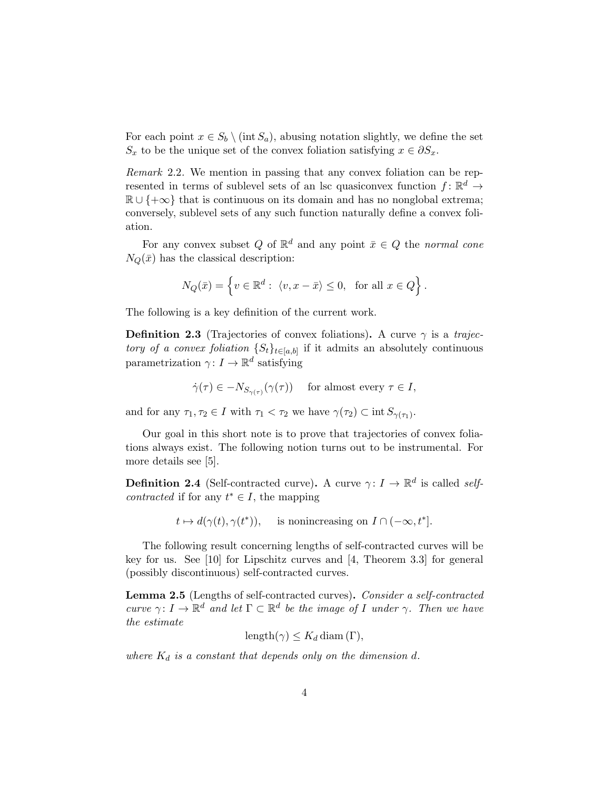For each point  $x \in S_b \setminus (\text{int } S_a)$ , abusing notation slightly, we define the set  $S_x$  to be the unique set of the convex foliation satisfying  $x \in \partial S_x$ .

Remark 2.2. We mention in passing that any convex foliation can be represented in terms of sublevel sets of an lsc quasiconvex function  $f: \mathbb{R}^d \to$  $\mathbb{R} \cup \{+\infty\}$  that is continuous on its domain and has no nonglobal extrema; conversely, sublevel sets of any such function naturally define a convex foliation.

For any convex subset Q of  $\mathbb{R}^d$  and any point  $\bar{x} \in Q$  the normal cone  $N<sub>O</sub>(\bar{x})$  has the classical description:

$$
N_Q(\bar{x}) = \left\{ v \in \mathbb{R}^d : \langle v, x - \bar{x} \rangle \le 0, \text{ for all } x \in Q \right\}.
$$

The following is a key definition of the current work.

**Definition 2.3** (Trajectories of convex foliations). A curve  $\gamma$  is a trajectory of a convex foliation  $\{S_t\}_{t\in[a,b]}$  if it admits an absolutely continuous parametrization  $\gamma: I \to \mathbb{R}^d$  satisfying

$$
\dot{\gamma}(\tau) \in -N_{S_{\gamma(\tau)}}(\gamma(\tau)) \quad \text{ for almost every } \tau \in I,
$$

and for any  $\tau_1, \tau_2 \in I$  with  $\tau_1 < \tau_2$  we have  $\gamma(\tau_2) \subset \text{int } S_{\gamma(\tau_1)}$ .

Our goal in this short note is to prove that trajectories of convex foliations always exist. The following notion turns out to be instrumental. For more details see [5].

**Definition 2.4** (Self-contracted curve). A curve  $\gamma: I \to \mathbb{R}^d$  is called *self*contracted if for any  $t^* \in I$ , the mapping

 $t \mapsto d(\gamma(t), \gamma(t^*)),$  is nonincreasing on  $I \cap (-\infty, t^*].$ 

The following result concerning lengths of self-contracted curves will be key for us. See [10] for Lipschitz curves and [4, Theorem 3.3] for general (possibly discontinuous) self-contracted curves.

Lemma 2.5 (Lengths of self-contracted curves). Consider a self-contracted curve  $\gamma: I \to \mathbb{R}^d$  and let  $\Gamma \subset \mathbb{R}^d$  be the image of I under  $\gamma$ . Then we have the estimate

$$
length(\gamma) \leq K_d \operatorname{diam}(\Gamma),
$$

where  $K_d$  is a constant that depends only on the dimension  $d$ .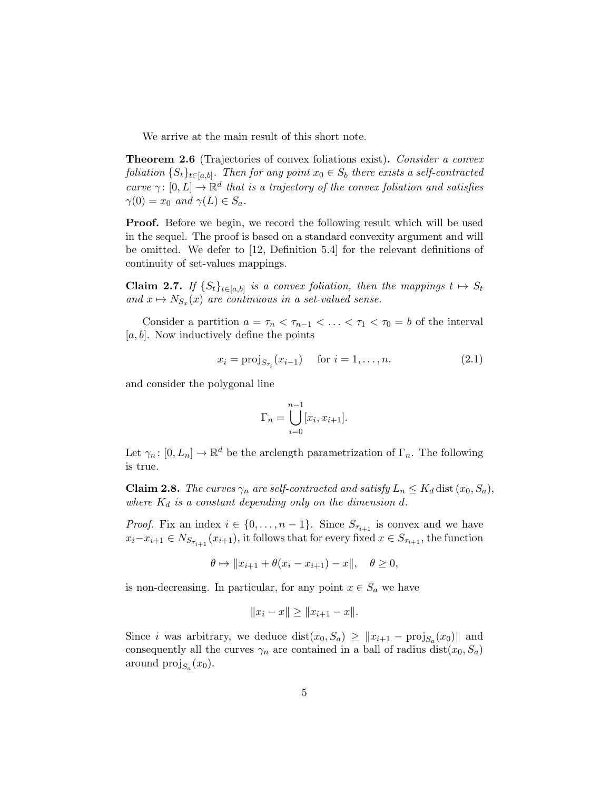We arrive at the main result of this short note.

**Theorem 2.6** (Trajectories of convex foliations exist). Consider a convex foliation  $\{S_t\}_{t\in [a,b]}$ . Then for any point  $x_0\in S_b$  there exists a self-contracted curve  $\gamma: [0, L] \to \mathbb{R}^d$  that is a trajectory of the convex foliation and satisfies  $\gamma(0) = x_0$  and  $\gamma(L) \in S_a$ .

Proof. Before we begin, we record the following result which will be used in the sequel. The proof is based on a standard convexity argument and will be omitted. We defer to [12, Definition 5.4] for the relevant definitions of continuity of set-values mappings.

**Claim 2.7.** If  $\{S_t\}_{t\in [a,b]}$  is a convex foliation, then the mappings  $t \mapsto S_t$ and  $x \mapsto N_{S_x}(x)$  are continuous in a set-valued sense.

Consider a partition  $a = \tau_n < \tau_{n-1} < \ldots < \tau_1 < \tau_0 = b$  of the interval  $[a, b]$ . Now inductively define the points

$$
x_i = \text{proj}_{S_{\tau_i}}(x_{i-1}) \quad \text{for } i = 1, ..., n.
$$
 (2.1)

and consider the polygonal line

$$
\Gamma_n = \bigcup_{i=0}^{n-1} [x_i, x_{i+1}].
$$

Let  $\gamma_n: [0, L_n] \to \mathbb{R}^d$  be the arclength parametrization of  $\Gamma_n$ . The following is true.

**Claim 2.8.** The curves  $\gamma_n$  are self-contracted and satisfy  $L_n \leq K_d$  dist  $(x_0, S_a)$ , where  $K_d$  is a constant depending only on the dimension d.

*Proof.* Fix an index  $i \in \{0, \ldots, n-1\}$ . Since  $S_{\tau_{i+1}}$  is convex and we have  $x_i-x_{i+1} \in N_{S_{\tau_{i+1}}}(x_{i+1}),$  it follows that for every fixed  $x \in S_{\tau_{i+1}},$  the function

$$
\theta \mapsto ||x_{i+1} + \theta(x_i - x_{i+1}) - x||, \quad \theta \ge 0,
$$

is non-decreasing. In particular, for any point  $x \in S_a$  we have

$$
||x_i - x|| \ge ||x_{i+1} - x||.
$$

Since *i* was arbitrary, we deduce  $dist(x_0, S_a) \ge ||x_{i+1} - \text{proj}_{S_a}(x_0)||$  and consequently all the curves  $\gamma_n$  are contained in a ball of radius dist $(x_0, S_a)$ around  $\text{proj}_{S_a}(x_0)$ .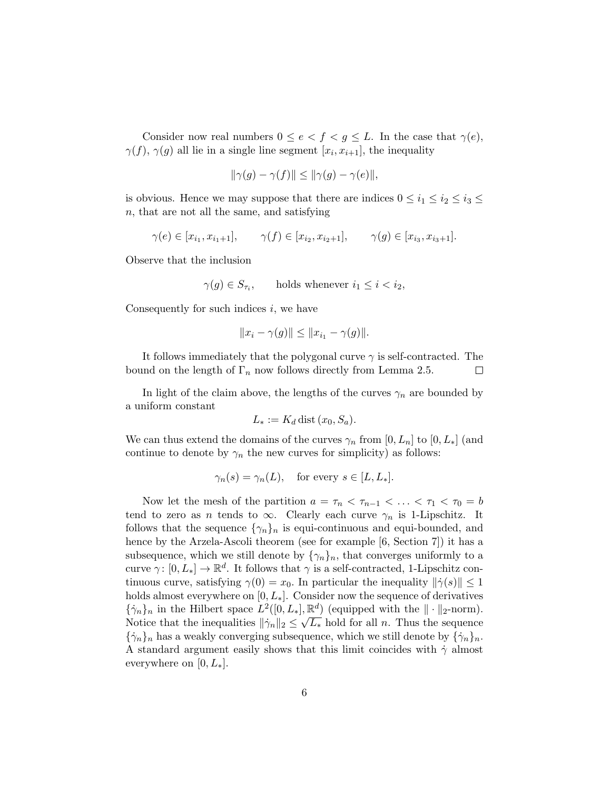Consider now real numbers  $0 \le e < f < g \le L$ . In the case that  $\gamma(e)$ ,  $\gamma(f)$ ,  $\gamma(g)$  all lie in a single line segment  $[x_i, x_{i+1}]$ , the inequality

$$
\|\gamma(g) - \gamma(f)\| \le \|\gamma(g) - \gamma(e)\|,
$$

is obvious. Hence we may suppose that there are indices  $0 \leq i_1 \leq i_2 \leq i_3 \leq j_4$ n, that are not all the same, and satisfying

$$
\gamma(e) \in [x_{i_1}, x_{i_1+1}], \qquad \gamma(f) \in [x_{i_2}, x_{i_2+1}], \qquad \gamma(g) \in [x_{i_3}, x_{i_3+1}].
$$

Observe that the inclusion

$$
\gamma(g) \in S_{\tau_i}, \qquad \text{holds whenever } i_1 \leq i < i_2,
$$

Consequently for such indices  $i$ , we have

$$
||x_i - \gamma(g)|| \le ||x_{i_1} - \gamma(g)||.
$$

It follows immediately that the polygonal curve  $\gamma$  is self-contracted. The bound on the length of  $\Gamma_n$  now follows directly from Lemma 2.5.  $\Box$ 

In light of the claim above, the lengths of the curves  $\gamma_n$  are bounded by a uniform constant

$$
L_* := K_d \operatorname{dist}(x_0, S_a).
$$

We can thus extend the domains of the curves  $\gamma_n$  from  $[0, L_n]$  to  $[0, L_*]$  (and continue to denote by  $\gamma_n$  the new curves for simplicity) as follows:

$$
\gamma_n(s) = \gamma_n(L)
$$
, for every  $s \in [L, L_*]$ .

Now let the mesh of the partition  $a = \tau_n < \tau_{n-1} < \ldots < \tau_1 < \tau_0 = b$ tend to zero as n tends to  $\infty$ . Clearly each curve  $\gamma_n$  is 1-Lipschitz. It follows that the sequence  $\{\gamma_n\}_n$  is equi-continuous and equi-bounded, and hence by the Arzela-Ascoli theorem (see for example [6, Section 7]) it has a subsequence, which we still denote by  $\{\gamma_n\}_n$ , that converges uniformly to a curve  $\gamma: [0, L_*] \to \mathbb{R}^d$ . It follows that  $\gamma$  is a self-contracted, 1-Lipschitz continuous curve, satisfying  $\gamma(0) = x_0$ . In particular the inequality  $\|\dot{\gamma}(s)\| \leq 1$ holds almost everywhere on  $[0, L_*]$ . Consider now the sequence of derivatives  $\{\gamma_n\}_n$  in the Hilbert space  $L^2([0, L_*], \mathbb{R}^d)$  (equipped with the  $\|\cdot\|_2$ -norm). Notice that the inequalities  $\|\dot{\gamma}_n\|_2 \leq \sqrt{L_*}$  hold for all n. Thus the sequence  ${\{\dot{\gamma}_n\}}_n$  has a weakly converging subsequence, which we still denote by  ${\{\dot{\gamma}_n\}}_n$ . A standard argument easily shows that this limit coincides with  $\dot{\gamma}$  almost everywhere on  $[0, L_*]$ .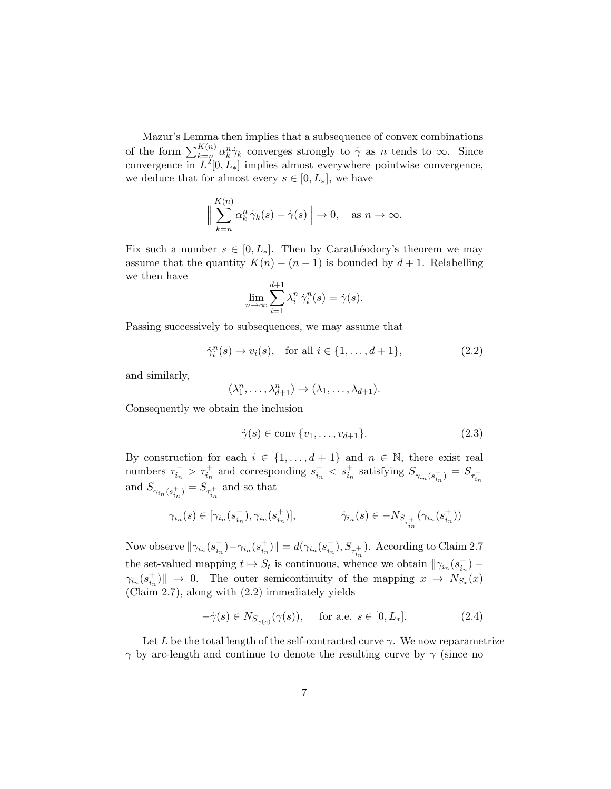Mazur's Lemma then implies that a subsequence of convex combinations of the form  $\sum_{k=n}^{K(n)} \alpha_k^n \dot{\gamma}_k$  converges strongly to  $\dot{\gamma}$  as n tends to  $\infty$ . Since convergence in  $L^2[0, L_*]$  implies almost everywhere pointwise convergence, we deduce that for almost every  $s \in [0, L_*]$ , we have

$$
\Big\|\sum_{k=n}^{K(n)} \alpha_k^n \dot{\gamma}_k(s) - \dot{\gamma}(s)\Big\| \to 0, \quad \text{as } n \to \infty.
$$

Fix such a number  $s \in [0, L_*]$ . Then by Carathéodory's theorem we may assume that the quantity  $K(n) - (n-1)$  is bounded by  $d+1$ . Relabelling we then have

$$
\lim_{n \to \infty} \sum_{i=1}^{d+1} \lambda_i^n \dot{\gamma}_i^n(s) = \dot{\gamma}(s).
$$

Passing successively to subsequences, we may assume that

$$
\dot{\gamma}_i^n(s) \to v_i(s), \quad \text{for all } i \in \{1, \dots, d+1\},\tag{2.2}
$$

and similarly,

$$
(\lambda_1^n,\ldots,\lambda_{d+1}^n) \to (\lambda_1,\ldots,\lambda_{d+1}).
$$

Consequently we obtain the inclusion

$$
\dot{\gamma}(s) \in \text{conv}\{v_1, \dots, v_{d+1}\}.
$$
\n
$$
(2.3)
$$

By construction for each  $i \in \{1, ..., d+1\}$  and  $n \in \mathbb{N}$ , there exist real numbers  $\tau_{i_n}^- > \tau_{i_n}^+$  and corresponding  $s_{i_n}^- < s_{i_n}^+$  satisfying  $S_{\gamma_{i_n}(s_{i_n})} = S_{\tau_{i_n}^-}$ and  $S_{\gamma_{i_n}(s_{i_n}^+)} = S_{\tau_{i_n}^+}$  and so that

$$
\gamma_{i_n}(s) \in [\gamma_{i_n}(s_{i_n}^-), \gamma_{i_n}(s_{i_n}^+)], \qquad \qquad \dot\gamma_{i_n}(s) \in -N_{S_{\tau_{i_n}^+}}(\gamma_{i_n}(s_{i_n}^+))
$$

Now observe  $\|\gamma_{i_n}(s_{i_n}^-) - \gamma_{i_n}(s_{i_n}^+) \| = d(\gamma_{i_n}(s_{i_n}^-), S_{\tau_{i_n}^+})$ . According to Claim 2.7 the set-valued mapping  $t \mapsto S_t$  is continuous, whence we obtain  $\|\gamma_{i_n}(s_{i_n}^-) \gamma_{i_n}(s_{i_n}^+)\| \to 0$ . The outer semicontinuity of the mapping  $x \to N_{S_x}(x)$ (Claim 2.7), along with (2.2) immediately yields

$$
-\dot{\gamma}(s) \in N_{S_{\gamma(s)}}(\gamma(s)), \quad \text{for a.e. } s \in [0, L_*].
$$
 (2.4)

Let L be the total length of the self-contracted curve  $\gamma$ . We now reparametrize  $\gamma$  by arc-length and continue to denote the resulting curve by  $\gamma$  (since no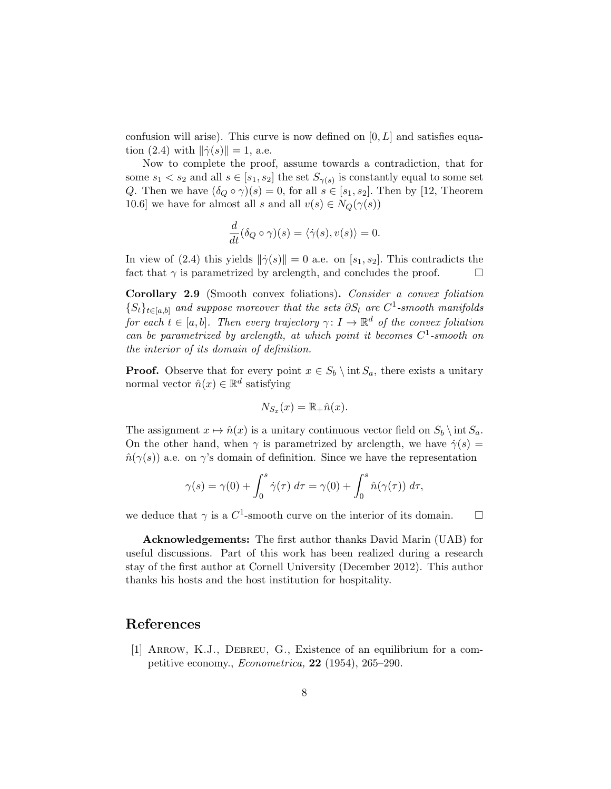confusion will arise). This curve is now defined on  $[0, L]$  and satisfies equation (2.4) with  $\|\dot{\gamma}(s)\| = 1$ , a.e.

Now to complete the proof, assume towards a contradiction, that for some  $s_1 < s_2$  and all  $s \in [s_1, s_2]$  the set  $S_{\gamma(s)}$  is constantly equal to some set Q. Then we have  $(\delta_Q \circ \gamma)(s) = 0$ , for all  $s \in [s_1, s_2]$ . Then by [12, Theorem 10.6] we have for almost all s and all  $v(s) \in N_Q(\gamma(s))$ 

$$
\frac{d}{dt}(\delta_Q \circ \gamma)(s) = \langle \dot{\gamma}(s), v(s) \rangle = 0.
$$

In view of (2.4) this yields  $\|\dot{\gamma}(s)\| = 0$  a.e. on [ $s_1, s_2$ ]. This contradicts the fact that  $\gamma$  is parametrized by arclength, and concludes the proof.  $\Box$ 

Corollary 2.9 (Smooth convex foliations). Consider a convex foliation  $\{S_t\}_{t\in [a,b]}$  and suppose moreover that the sets  $\partial S_t$  are  $C^1$ -smooth manifolds for each  $t \in [a, b]$ . Then every trajectory  $\gamma: I \to \mathbb{R}^d$  of the convex foliation can be parametrized by arclength, at which point it becomes  $C^1$ -smooth on the interior of its domain of definition.

**Proof.** Observe that for every point  $x \in S_b \setminus \text{int } S_a$ , there exists a unitary normal vector  $\hat{n}(x) \in \mathbb{R}^d$  satisfying

$$
N_{S_x}(x) = \mathbb{R}_+ \hat{n}(x).
$$

The assignment  $x \mapsto \hat{n}(x)$  is a unitary continuous vector field on  $S_b \setminus \text{int } S_a$ . On the other hand, when  $\gamma$  is parametrized by arclength, we have  $\dot{\gamma}(s)$  =  $\hat{n}(\gamma(s))$  a.e. on  $\gamma$ 's domain of definition. Since we have the representation

$$
\gamma(s) = \gamma(0) + \int_0^s \dot{\gamma}(\tau) d\tau = \gamma(0) + \int_0^s \hat{n}(\gamma(\tau)) d\tau,
$$

we deduce that  $\gamma$  is a  $C^1$ -smooth curve on the interior of its domain.  $\square$ 

Acknowledgements: The first author thanks David Marin (UAB) for useful discussions. Part of this work has been realized during a research stay of the first author at Cornell University (December 2012). This author thanks his hosts and the host institution for hospitality.

#### References

[1] Arrow, K.J., Debreu, G., Existence of an equilibrium for a competitive economy., Econometrica, 22 (1954), 265–290.